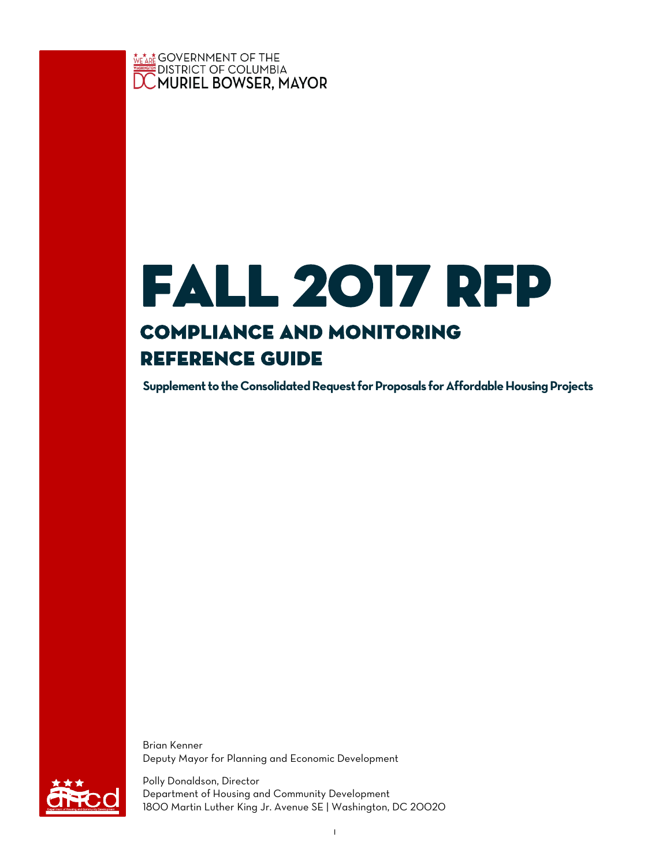

# fall 2017 rfp Compliance and Monitoring Reference Guide

**Supplement to the Consolidated Request for Proposals for Affordable Housing Projects**

Brian Kenner Deputy Mayor for Planning and Economic Development



Polly Donaldson, Director Department of Housing and Community Development 1800 Martin Luther King Jr. Avenue SE | Washington, DC 20020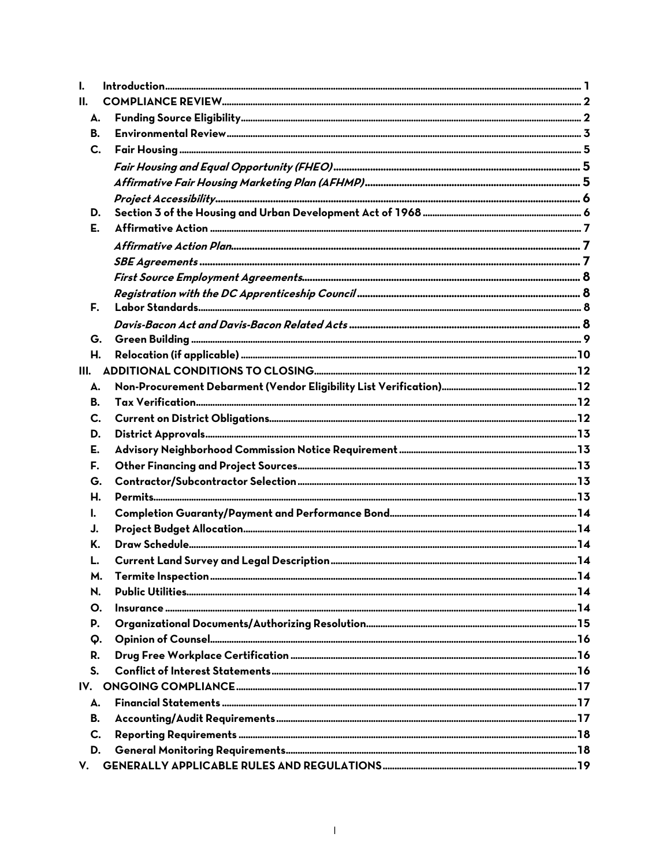| I.   |  |
|------|--|
| Н.   |  |
| А.   |  |
| В.   |  |
| C.   |  |
|      |  |
|      |  |
|      |  |
| D.   |  |
| E.   |  |
|      |  |
|      |  |
|      |  |
|      |  |
| F.   |  |
|      |  |
| G.   |  |
| Η.   |  |
| III. |  |
| А.   |  |
| В.   |  |
| C.   |  |
| D.   |  |
| Е.   |  |
| F.   |  |
| G.   |  |
| Н.   |  |
| I.   |  |
| J.   |  |
| Κ.   |  |
| L.   |  |
| М.   |  |
| N.   |  |
| О.   |  |
| P.   |  |
| Q.   |  |
| R.   |  |
| S.   |  |
|      |  |
| А.   |  |
| В.   |  |
| C.   |  |
| D.   |  |
| V.   |  |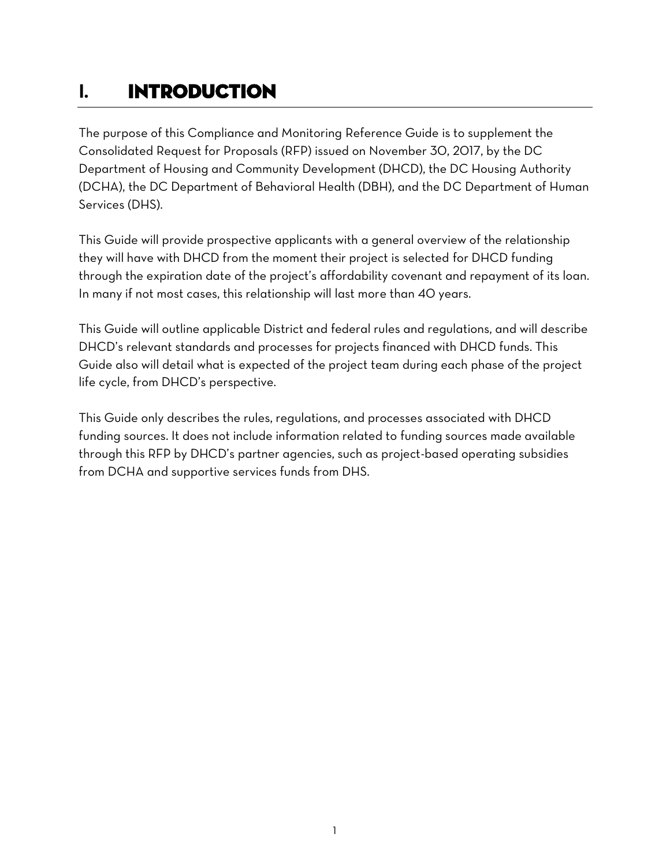# <span id="page-2-0"></span>**I.** INTRODUCTION

The purpose of this Compliance and Monitoring Reference Guide is to supplement the Consolidated Request for Proposals (RFP) issued on November 30, 2017, by the DC Department of Housing and Community Development (DHCD), the DC Housing Authority (DCHA), the DC Department of Behavioral Health (DBH), and the DC Department of Human Services (DHS).

This Guide will provide prospective applicants with a general overview of the relationship they will have with DHCD from the moment their project is selected for DHCD funding through the expiration date of the project's affordability covenant and repayment of its loan. In many if not most cases, this relationship will last more than 40 years.

This Guide will outline applicable District and federal rules and regulations, and will describe DHCD's relevant standards and processes for projects financed with DHCD funds. This Guide also will detail what is expected of the project team during each phase of the project life cycle, from DHCD's perspective.

This Guide only describes the rules, regulations, and processes associated with DHCD funding sources. It does not include information related to funding sources made available through this RFP by DHCD's partner agencies, such as project-based operating subsidies from DCHA and supportive services funds from DHS.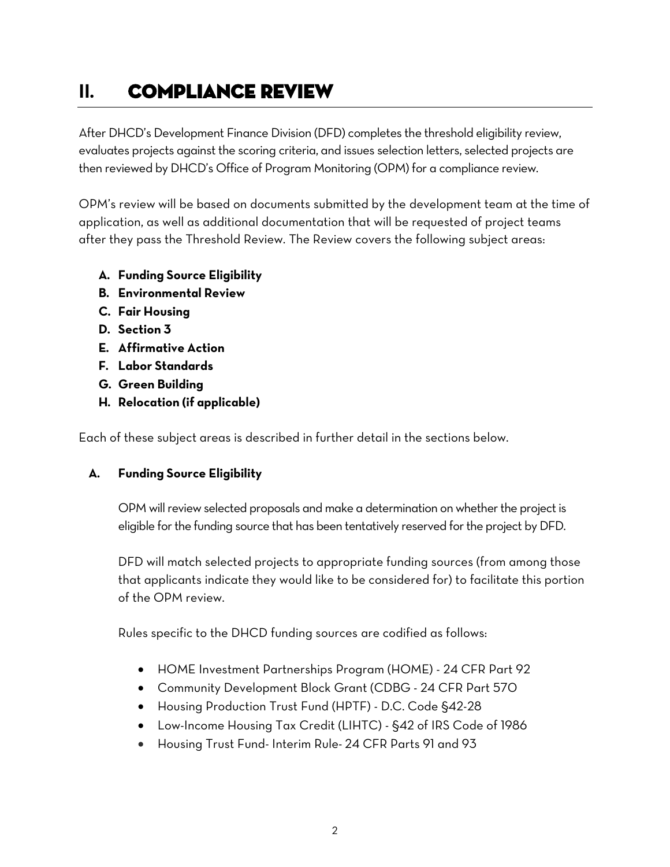# <span id="page-3-0"></span>**II.** Compliance Review

After DHCD's Development Finance Division (DFD) completes the threshold eligibility review, evaluates projects against the scoring criteria, and issues selection letters, selected projects are then reviewed by DHCD's Office of Program Monitoring (OPM) for a compliance review.

OPM's review will be based on documents submitted by the development team at the time of application, as well as additional documentation that will be requested of project teams after they pass the Threshold Review. The Review covers the following subject areas:

- **A. Funding Source Eligibility**
- **B. Environmental Review**
- **C. Fair Housing**
- **D. Section 3**
- **E. Affirmative Action**
- **F. Labor Standards**
- **G. Green Building**
- **H. Relocation (if applicable)**

Each of these subject areas is described in further detail in the sections below.

# <span id="page-3-1"></span>**A. Funding Source Eligibility**

OPM will review selected proposals and make a determination on whether the project is eligible for the funding source that has been tentatively reserved for the project by DFD.

DFD will match selected projects to appropriate funding sources (from among those that applicants indicate they would like to be considered for) to facilitate this portion of the OPM review.

Rules specific to the DHCD funding sources are codified as follows:

- HOME Investment Partnerships Program (HOME) 24 CFR Part 92
- Community Development Block Grant (CDBG 24 CFR Part 570
- Housing Production Trust Fund (HPTF) D.C. Code §42-28
- Low-Income Housing Tax Credit (LIHTC) §42 of IRS Code of 1986
- Housing Trust Fund- Interim Rule- 24 CFR Parts 91 and 93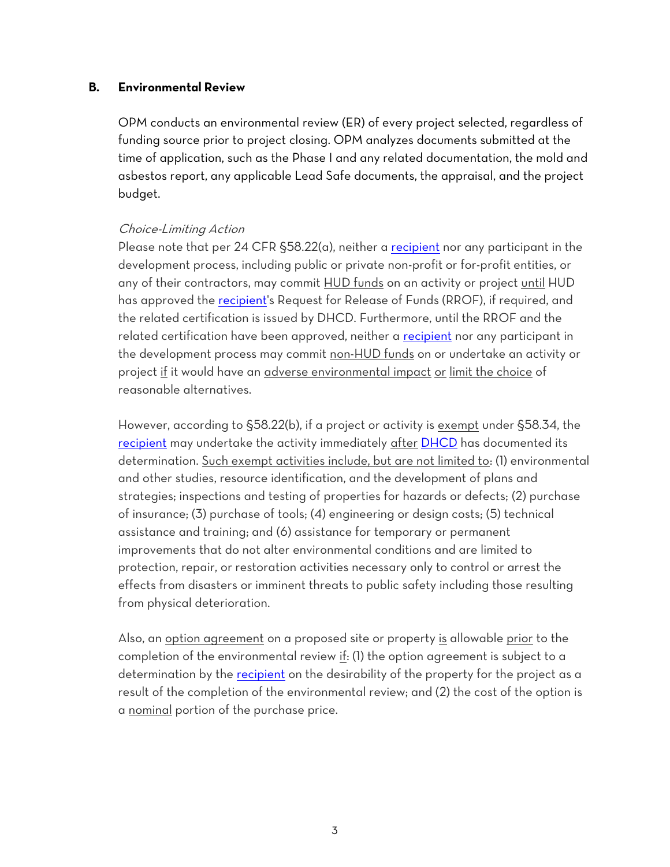#### <span id="page-4-0"></span>**B. Environmental Review**

OPM conducts an environmental review (ER) of every project selected, regardless of funding source prior to project closing. OPM analyzes documents submitted at the time of application, such as the Phase I and any related documentation, the mold and asbestos report, any applicable Lead Safe documents, the appraisal, and the project budget.

#### Choice-Limiting Action

Please note that per 24 CFR §58.22(a), neither a [recipient](https://www.law.cornell.edu/definitions/index.php?width=840&height=800&iframe=true&def_id=6bc18d2b5ded2f3b46ff58e1986b6949&term_occur=1&term_src=Title:24:Subtitle:A:Part:58:Subpart:C:58.22) nor any participant in the development process, including public or private non-profit or for-profit entities, or any of their contractors, may commit HUD funds on an activity or project until HUD has approved the [recipient's](https://www.law.cornell.edu/definitions/index.php?width=840&height=800&iframe=true&def_id=6bc18d2b5ded2f3b46ff58e1986b6949&term_occur=2&term_src=Title:24:Subtitle:A:Part:58:Subpart:C:58.22) Request for Release of Funds (RROF), if required, and the related certification is issued by DHCD. Furthermore, until the RROF and the related certification have been approved, neither a [recipient](https://www.law.cornell.edu/definitions/index.php?width=840&height=800&iframe=true&def_id=6bc18d2b5ded2f3b46ff58e1986b6949&term_occur=3&term_src=Title:24:Subtitle:A:Part:58:Subpart:C:58.22) nor any participant in the development process may commit non-HUD funds on or undertake an activity or project if it would have an adverse environmental impact or limit the choice of reasonable alternatives.

However, according to §58.22(b), if a project or activity is exempt under §58.34, the [recipient](https://www.law.cornell.edu/definitions/index.php?width=840&height=800&iframe=true&def_id=6bc18d2b5ded2f3b46ff58e1986b6949&term_occur=4&term_src=Title:24:Subtitle:A:Part:58:Subpart:C:58.22) may undertake the activity immediately after [DHCD](https://www.law.cornell.edu/definitions/index.php?width=840&height=800&iframe=true&def_id=bed963b519a9395bfe6bbbea694c6773&term_occur=2&term_src=Title:24:Subtitle:A:Part:58:Subpart:C:58.22) has documented its determination. Such exempt activities include, but are not limited to: (1) environmental and other studies, resource identification, and the development of plans and strategies; inspections and testing of properties for hazards or defects; (2) purchase of insurance; (3) purchase of tools; (4) engineering or design costs; (5) technical assistance and training; and (6) assistance for temporary or permanent improvements that do not alter environmental conditions and are limited to protection, repair, or restoration activities necessary only to control or arrest the effects from disasters or imminent threats to public safety including those resulting from physical deterioration.

Also, an option agreement on a proposed site or property is allowable prior to the completion of the environmental review if: (1) the option agreement is subject to a determination by the [recipient](https://www.law.cornell.edu/definitions/index.php?width=840&height=800&iframe=true&def_id=6bc18d2b5ded2f3b46ff58e1986b6949&term_occur=9&term_src=Title:24:Subtitle:A:Part:58:Subpart:C:58.22) on the desirability of the property for the project as a result of the completion of the environmental review; and (2) the cost of the option is a nominal portion of the purchase price.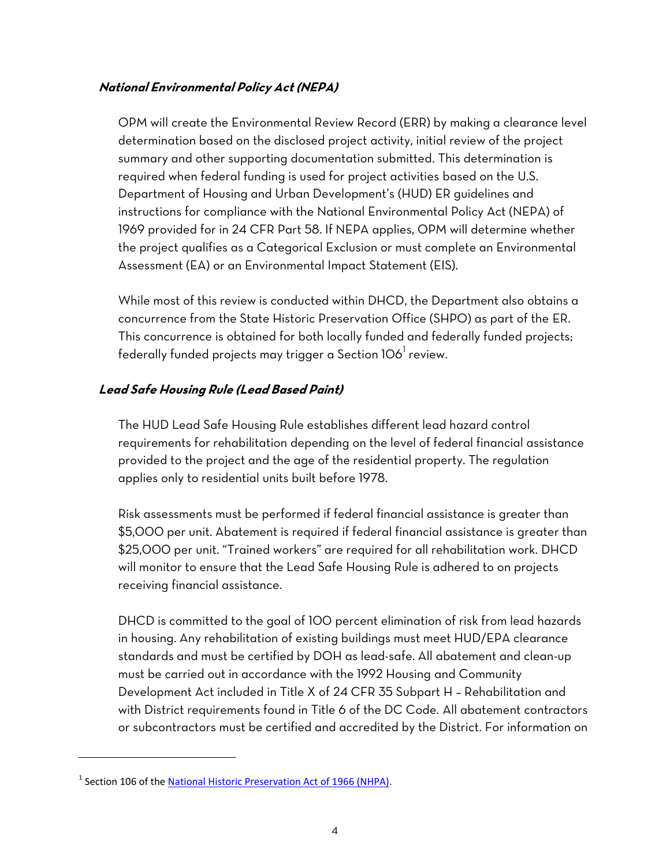# **National Environmental Policy Act (NEPA)**

OPM will create the Environmental Review Record (ERR) by making a clearance level determination based on the disclosed project activity, initial review of the project summary and other supporting documentation submitted. This determination is required when federal funding is used for project activities based on the U.S. Department of Housing and Urban Development's (HUD) ER guidelines and instructions for compliance with the National Environmental Policy Act (NEPA) of 1969 provided for in 24 CFR Part 58. If NEPA applies, OPM will determine whether the project qualifies as a Categorical Exclusion or must complete an Environmental Assessment (EA) or an Environmental Impact Statement (EIS).

While most of this review is conducted within DHCD, the Department also obtains a concurrence from the State Historic Preservation Office (SHPO) as part of the ER. This concurrence is obtained for both locally funded and federally funded projects; federally funded projects may trigger a Section 106 $^{\rm l}$  review.

# **Lead Safe Housing Rule (Lead Based Paint)**

The HUD Lead Safe Housing Rule establishes different lead hazard control requirements for rehabilitation depending on the level of federal financial assistance provided to the project and the age of the residential property. The regulation applies only to residential units built before 1978.

Risk assessments must be performed if federal financial assistance is greater than \$5,000 per unit. Abatement is required if federal financial assistance is greater than \$25,000 per unit. "Trained workers" are required for all rehabilitation work. DHCD will monitor to ensure that the Lead Safe Housing Rule is adhered to on projects receiving financial assistance.

DHCD is committed to the goal of 100 percent elimination of risk from lead hazards in housing. Any rehabilitation of existing buildings must meet HUD/EPA clearance standards and must be certified by DOH as lead-safe. All abatement and clean-up must be carried out in accordance with the 1992 Housing and Community Development Act included in Title X of 24 CFR 35 Subpart H – Rehabilitation and with District requirements found in Title 6 of the DC Code. All abatement contractors or subcontractors must be certified and accredited by the District. For information on

 $\overline{a}$ 

<sup>&</sup>lt;sup>1</sup> Section 106 of the <u>National Historic Preservation Act of 1966 (NHPA)</u>.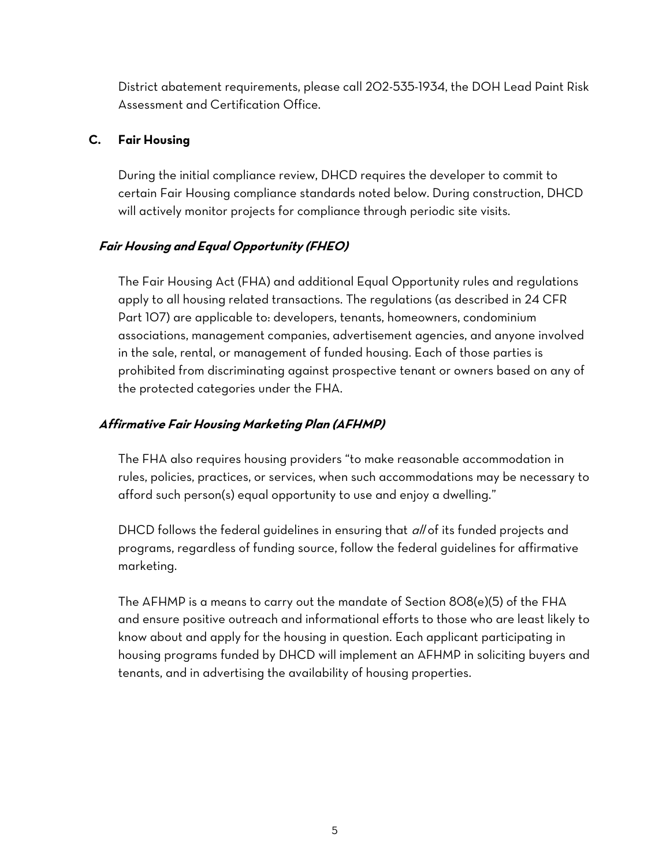District abatement requirements, please call 202-535-1934, the DOH Lead Paint Risk Assessment and Certification Office.

# <span id="page-6-0"></span>**C. Fair Housing**

During the initial compliance review, DHCD requires the developer to commit to certain Fair Housing compliance standards noted below. During construction, DHCD will actively monitor projects for compliance through periodic site visits.

# <span id="page-6-1"></span>**Fair Housing and Equal Opportunity (FHEO)**

The Fair Housing Act (FHA) and additional Equal Opportunity rules and regulations apply to all housing related transactions. The regulations (as described in 24 CFR Part 107) are applicable to: developers, tenants, homeowners, condominium associations, management companies, advertisement agencies, and anyone involved in the sale, rental, or management of funded housing. Each of those parties is prohibited from discriminating against prospective tenant or owners based on any of the protected categories under the FHA.

# <span id="page-6-2"></span>**Affirmative Fair Housing Marketing Plan (AFHMP)**

The FHA also requires housing providers "to make reasonable accommodation in rules, policies, practices, or services, when such accommodations may be necessary to afford such person(s) equal opportunity to use and enjoy a dwelling."

DHCD follows the federal guidelines in ensuring that all of its funded projects and programs, regardless of funding source, follow the federal guidelines for affirmative marketing.

The AFHMP is a means to carry out the mandate of Section 808(e)(5) of the FHA and ensure positive outreach and informational efforts to those who are least likely to know about and apply for the housing in question. Each applicant participating in housing programs funded by DHCD will implement an AFHMP in soliciting buyers and tenants, and in advertising the availability of housing properties.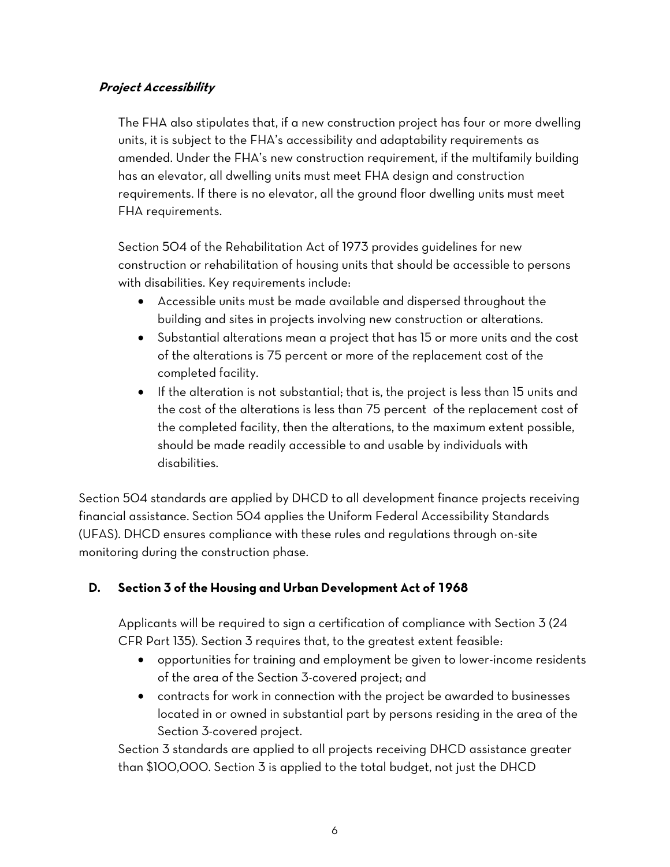# <span id="page-7-0"></span>**Project Accessibility**

The FHA also stipulates that, if a new construction project has four or more dwelling units, it is subject to the FHA's accessibility and adaptability requirements as amended. Under the FHA's new construction requirement, if the multifamily building has an elevator, all dwelling units must meet FHA design and construction requirements. If there is no elevator, all the ground floor dwelling units must meet FHA requirements.

Section 504 of the Rehabilitation Act of 1973 provides guidelines for new construction or rehabilitation of housing units that should be accessible to persons with disabilities. Key requirements include:

- Accessible units must be made available and dispersed throughout the building and sites in projects involving new construction or alterations.
- Substantial alterations mean a project that has 15 or more units and the cost of the alterations is 75 percent or more of the replacement cost of the completed facility.
- If the alteration is not substantial; that is, the project is less than 15 units and the cost of the alterations is less than 75 percent of the replacement cost of the completed facility, then the alterations, to the maximum extent possible, should be made readily accessible to and usable by individuals with disabilities.

Section 504 standards are applied by DHCD to all development finance projects receiving financial assistance. Section 504 applies the Uniform Federal Accessibility Standards (UFAS). DHCD ensures compliance with these rules and regulations through on-site monitoring during the construction phase.

# <span id="page-7-1"></span>**D. Section 3 of the Housing and Urban Development Act of 1968**

Applicants will be required to sign a certification of compliance with Section 3 (24 CFR Part 135). Section 3 requires that, to the greatest extent feasible:

- opportunities for training and employment be given to lower-income residents of the area of the Section 3-covered project; and
- contracts for work in connection with the project be awarded to businesses located in or owned in substantial part by persons residing in the area of the Section 3-covered project.

Section 3 standards are applied to all projects receiving DHCD assistance greater than \$100,000. Section 3 is applied to the total budget, not just the DHCD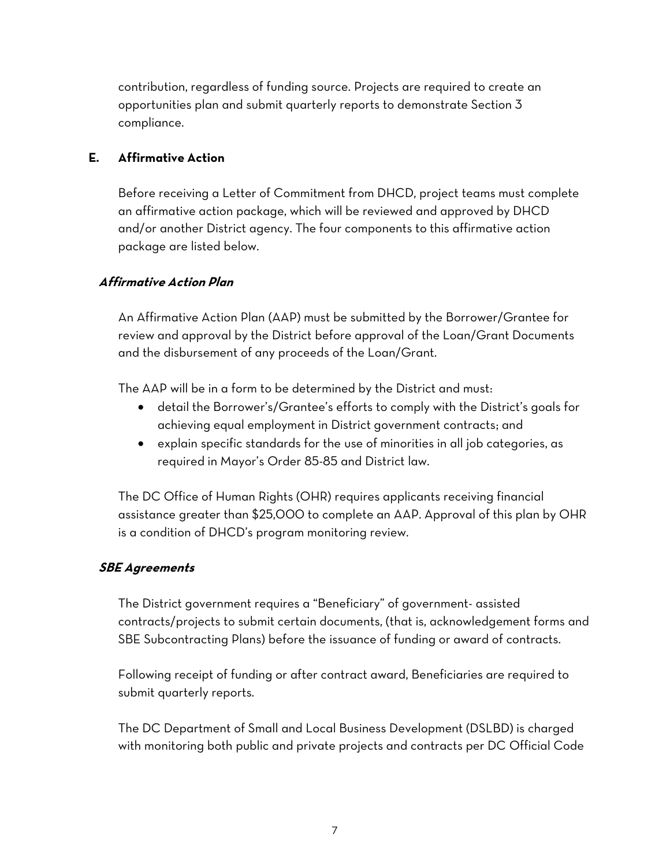contribution, regardless of funding source. Projects are required to create an opportunities plan and submit quarterly reports to demonstrate Section 3 compliance.

# <span id="page-8-0"></span>**E. Affirmative Action**

Before receiving a Letter of Commitment from DHCD, project teams must complete an affirmative action package, which will be reviewed and approved by DHCD and/or another District agency. The four components to this affirmative action package are listed below.

# <span id="page-8-1"></span>**Affirmative Action Plan**

An Affirmative Action Plan (AAP) must be submitted by the Borrower/Grantee for review and approval by the District before approval of the Loan/Grant Documents and the disbursement of any proceeds of the Loan/Grant.

The AAP will be in a form to be determined by the District and must:

- detail the Borrower's/Grantee's efforts to comply with the District's goals for achieving equal employment in District government contracts; and
- explain specific standards for the use of minorities in all job categories, as required in Mayor's Order 85-85 and District law.

The DC Office of Human Rights (OHR) requires applicants receiving financial assistance greater than \$25,000 to complete an AAP. Approval of this plan by OHR is a condition of DHCD's program monitoring review.

#### <span id="page-8-2"></span>**SBE Agreements**

The District government requires a "Beneficiary" of government- assisted contracts/projects to submit certain documents, (that is, acknowledgement forms and SBE Subcontracting Plans) before the issuance of funding or award of contracts.

Following receipt of funding or after contract award, Beneficiaries are required to submit quarterly reports.

The DC Department of Small and Local Business Development (DSLBD) is charged with monitoring both public and private projects and contracts per DC Official Code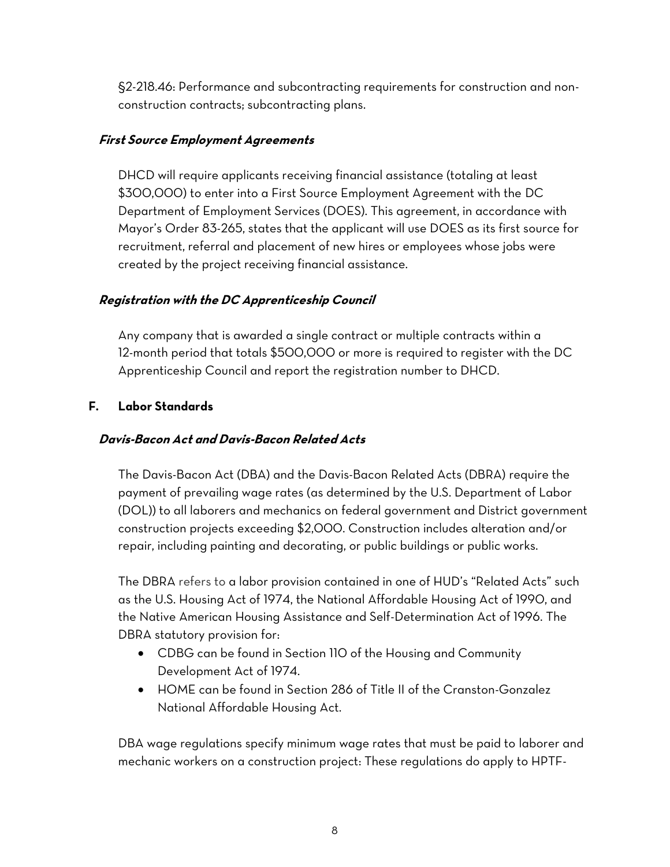§2-218.46: Performance and subcontracting requirements for construction and nonconstruction contracts; subcontracting plans.

## <span id="page-9-0"></span>**First Source Employment Agreements**

DHCD will require applicants receiving financial assistance (totaling at least \$300,000) to enter into a First Source Employment Agreement with the DC Department of Employment Services (DOES). This agreement, in accordance with Mayor's Order 83-265, states that the applicant will use DOES as its first source for recruitment, referral and placement of new hires or employees whose jobs were created by the project receiving financial assistance.

# <span id="page-9-1"></span>**Registration with the DC Apprenticeship Council**

Any company that is awarded a single contract or multiple contracts within a 12-month period that totals \$500,000 or more is required to register with the DC Apprenticeship Council and report the registration number to DHCD.

# <span id="page-9-2"></span>**F. Labor Standards**

## <span id="page-9-3"></span>**Davis-Bacon Act and Davis-Bacon Related Acts**

The Davis-Bacon Act (DBA) and the Davis-Bacon Related Acts (DBRA) require the payment of prevailing wage rates (as determined by the U.S. Department of Labor (DOL)) to all laborers and mechanics on federal government and District government construction projects exceeding \$2,000. Construction includes alteration and/or repair, including painting and decorating, or public buildings or public works.

The DBRA refers to a labor provision contained in one of HUD's "Related Acts" such as the U.S. Housing Act of 1974, the National Affordable Housing Act of 1990, and the Native American Housing Assistance and Self-Determination Act of 1996. The DBRA statutory provision for:

- CDBG can be found in Section 110 of the Housing and Community Development Act of 1974.
- HOME can be found in Section 286 of Title II of the Cranston-Gonzalez National Affordable Housing Act.

DBA wage regulations specify minimum wage rates that must be paid to laborer and mechanic workers on a construction project: These regulations do apply to HPTF-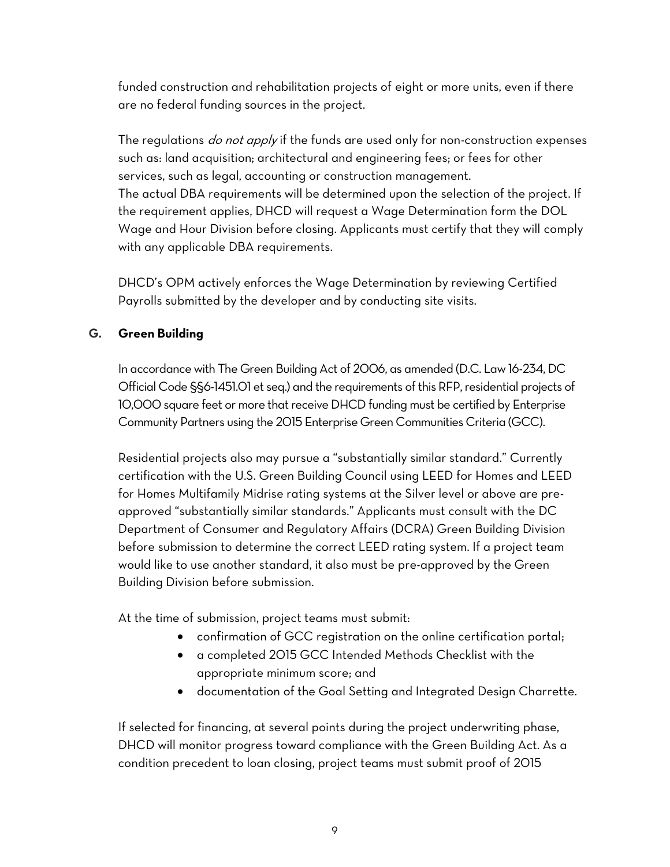funded construction and rehabilitation projects of eight or more units, even if there are no federal funding sources in the project.

The regulations *do not apply* if the funds are used only for non-construction expenses such as: land acquisition; architectural and engineering fees; or fees for other services, such as legal, accounting or construction management. The actual DBA requirements will be determined upon the selection of the project. If the requirement applies, DHCD will request a Wage Determination form the DOL Wage and Hour Division before closing. Applicants must certify that they will comply with any applicable DBA requirements.

DHCD's OPM actively enforces the Wage Determination by reviewing Certified Payrolls submitted by the developer and by conducting site visits.

# <span id="page-10-0"></span>**G. Green Building**

In accordance with The Green Building Act of 2006, as amended (D.C. Law 16-234, DC Official Code §§6-1451.01 et seq.) and the requirements of this RFP, residential projects of 10,000 square feet or more that receive DHCD funding must be certified by Enterprise Community Partners using the 2015 Enterprise Green Communities Criteria (GCC).

Residential projects also may pursue a "substantially similar standard." Currently certification with the U.S. Green Building Council using LEED for Homes and LEED for Homes Multifamily Midrise rating systems at the Silver level or above are preapproved "substantially similar standards." Applicants must consult with the DC Department of Consumer and Regulatory Affairs (DCRA) Green Building Division before submission to determine the correct LEED rating system. If a project team would like to use another standard, it also must be pre-approved by the Green Building Division before submission.

At the time of submission, project teams must submit:

- confirmation of GCC registration on the online certification portal;
- a completed 2015 GCC Intended Methods Checklist with the appropriate minimum score; and
- documentation of the Goal Setting and Integrated Design Charrette.

If selected for financing, at several points during the project underwriting phase, DHCD will monitor progress toward compliance with the Green Building Act. As a condition precedent to loan closing, project teams must submit proof of 2015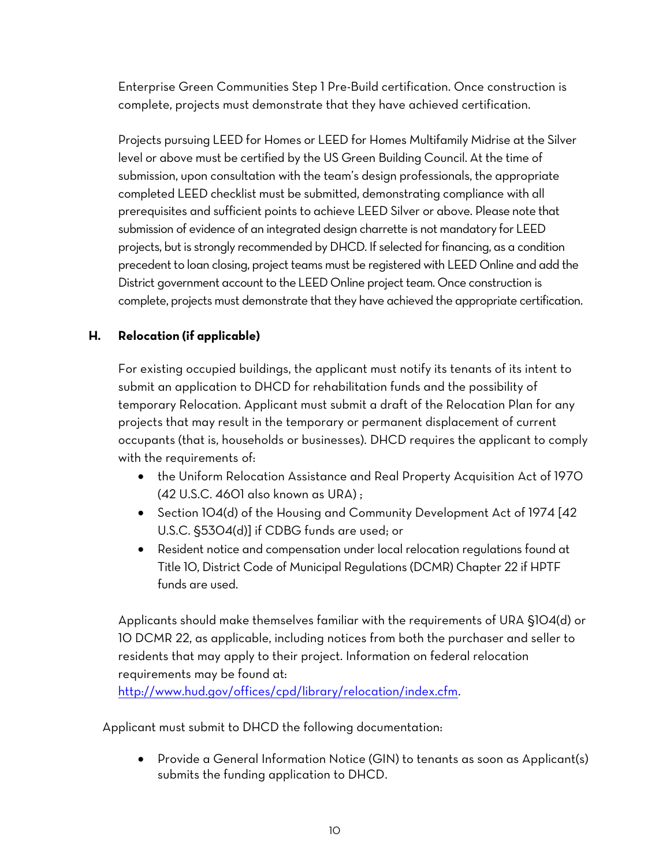Enterprise Green Communities Step 1 Pre-Build certification. Once construction is complete, projects must demonstrate that they have achieved certification.

Projects pursuing LEED for Homes or LEED for Homes Multifamily Midrise at the Silver level or above must be certified by the US Green Building Council. At the time of submission, upon consultation with the team's design professionals, the appropriate completed LEED checklist must be submitted, demonstrating compliance with all prerequisites and sufficient points to achieve LEED Silver or above. Please note that submission of evidence of an integrated design charrette is not mandatory for LEED projects, but is strongly recommended by DHCD. If selected for financing, as a condition precedent to loan closing, project teams must be registered with LEED Online and add the District government account to the LEED Online project team. Once construction is complete, projects must demonstrate that they have achieved the appropriate certification.

# <span id="page-11-0"></span>**H. Relocation (if applicable)**

For existing occupied buildings, the applicant must notify its tenants of its intent to submit an application to DHCD for rehabilitation funds and the possibility of temporary Relocation. Applicant must submit a draft of the Relocation Plan for any projects that may result in the temporary or permanent displacement of current occupants (that is, households or businesses). DHCD requires the applicant to comply with the requirements of:

- the Uniform Relocation Assistance and Real Property Acquisition Act of 1970 (42 U.S.C. 4601 also known as URA) ;
- Section 104(d) of the Housing and Community Development Act of 1974 [42] U.S.C. §5304(d)] if CDBG funds are used; or
- Resident notice and compensation under local relocation regulations found at Title 10, District Code of Municipal Regulations (DCMR) Chapter 22 if HPTF funds are used.

Applicants should make themselves familiar with the requirements of URA §104(d) or 10 DCMR 22, as applicable, including notices from both the purchaser and seller to residents that may apply to their project. Information on federal relocation requirements may be found at:

[http://www.hud.gov/offices/cpd/library/relocation/index.cfm.](http://www.hud.gov/offices/cpd/library/relocation/index.cfm)

Applicant must submit to DHCD the following documentation:

 Provide a General Information Notice (GIN) to tenants as soon as Applicant(s) submits the funding application to DHCD.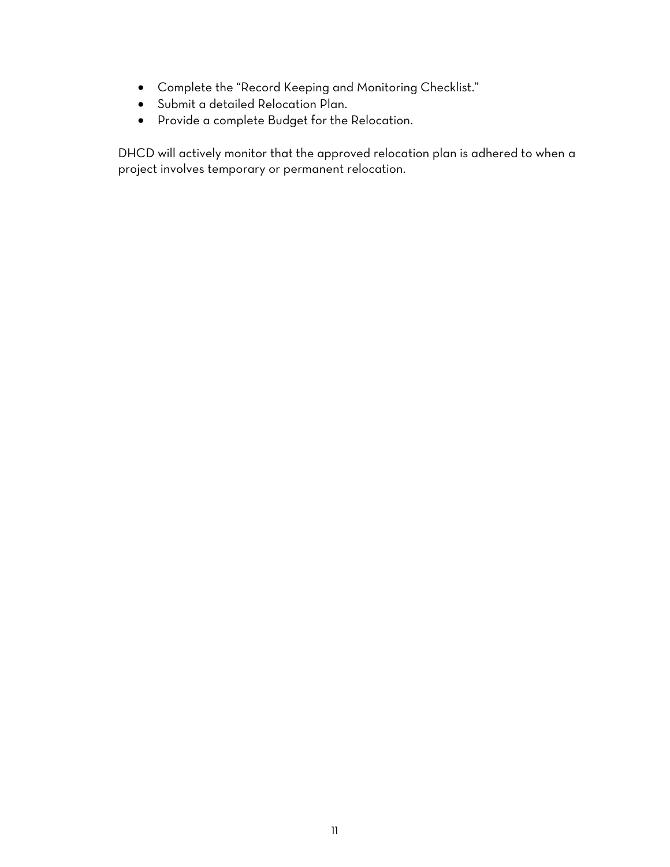- Complete the "Record Keeping and Monitoring Checklist."
- Submit a detailed Relocation Plan.
- Provide a complete Budget for the Relocation.

DHCD will actively monitor that the approved relocation plan is adhered to when a project involves temporary or permanent relocation.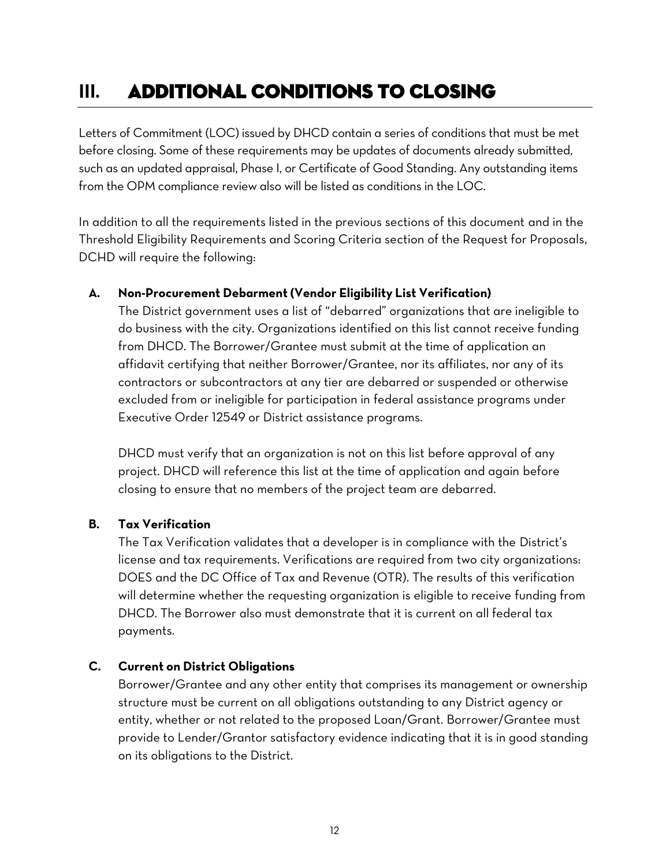# <span id="page-13-0"></span>**III.** Additional Conditions to Closing

Letters of Commitment (LOC) issued by DHCD contain a series of conditions that must be met before closing. Some of these requirements may be updates of documents already submitted, such as an updated appraisal, Phase I, or Certificate of Good Standing. Any outstanding items from the OPM compliance review also will be listed as conditions in the LOC.

In addition to all the requirements listed in the previous sections of this document and in the Threshold Eligibility Requirements and Scoring Criteria section of the Request for Proposals, DCHD will require the following:

#### <span id="page-13-1"></span>**A. Non-Procurement Debarment (Vendor Eligibility List Verification)**

The District government uses a list of "debarred" organizations that are ineligible to do business with the city. Organizations identified on this list cannot receive funding from DHCD. The Borrower/Grantee must submit at the time of application an affidavit certifying that neither Borrower/Grantee, nor its affiliates, nor any of its contractors or subcontractors at any tier are debarred or suspended or otherwise excluded from or ineligible for participation in federal assistance programs under Executive Order 12549 or District assistance programs.

DHCD must verify that an organization is not on this list before approval of any project. DHCD will reference this list at the time of application and again before closing to ensure that no members of the project team are debarred.

#### <span id="page-13-2"></span>**B. Tax Verification**

The Tax Verification validates that a developer is in compliance with the District's license and tax requirements. Verifications are required from two city organizations: DOES and the DC Office of Tax and Revenue (OTR). The results of this verification will determine whether the requesting organization is eligible to receive funding from DHCD. The Borrower also must demonstrate that it is current on all federal tax payments.

# <span id="page-13-3"></span>**C. Current on District Obligations**

Borrower/Grantee and any other entity that comprises its management or ownership structure must be current on all obligations outstanding to any District agency or entity, whether or not related to the proposed Loan/Grant. Borrower/Grantee must provide to Lender/Grantor satisfactory evidence indicating that it is in good standing on its obligations to the District.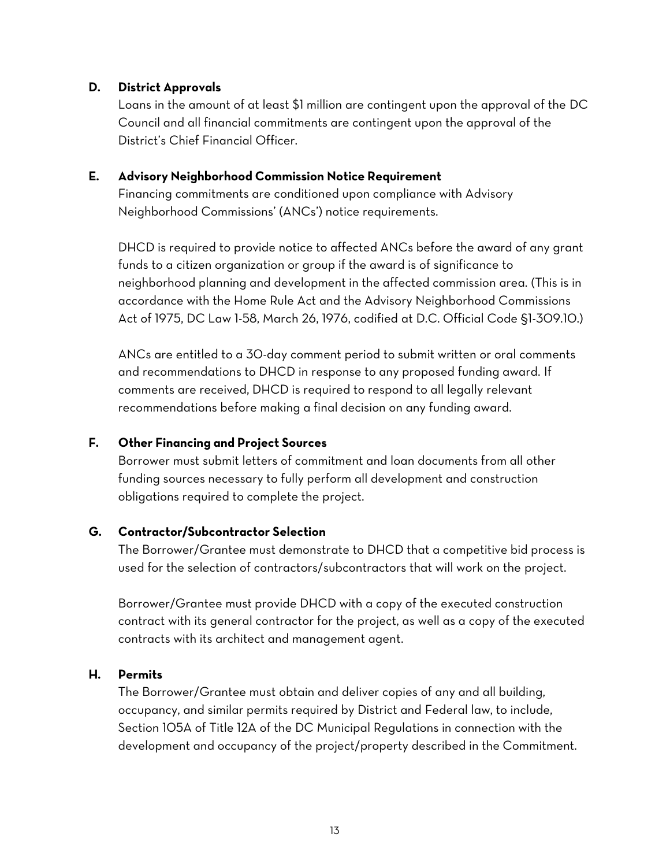#### <span id="page-14-0"></span>**D. District Approvals**

Loans in the amount of at least \$1 million are contingent upon the approval of the DC Council and all financial commitments are contingent upon the approval of the District's Chief Financial Officer.

#### <span id="page-14-1"></span>**E. Advisory Neighborhood Commission Notice Requirement**

Financing commitments are conditioned upon compliance with Advisory Neighborhood Commissions' (ANCs') notice requirements.

DHCD is required to provide notice to affected ANCs before the award of any grant funds to a citizen organization or group if the award is of significance to neighborhood planning and development in the affected commission area. (This is in accordance with the Home Rule Act and the Advisory Neighborhood Commissions Act of 1975, DC Law 1-58, March 26, 1976, codified at D.C. Official Code §1-309.10.)

ANCs are entitled to a 30-day comment period to submit written or oral comments and recommendations to DHCD in response to any proposed funding award. If comments are received, DHCD is required to respond to all legally relevant recommendations before making a final decision on any funding award.

#### <span id="page-14-2"></span>**F. Other Financing and Project Sources**

Borrower must submit letters of commitment and loan documents from all other funding sources necessary to fully perform all development and construction obligations required to complete the project.

#### <span id="page-14-3"></span>**G. Contractor/Subcontractor Selection**

The Borrower/Grantee must demonstrate to DHCD that a competitive bid process is used for the selection of contractors/subcontractors that will work on the project.

Borrower/Grantee must provide DHCD with a copy of the executed construction contract with its general contractor for the project, as well as a copy of the executed contracts with its architect and management agent.

#### <span id="page-14-4"></span>**H. Permits**

The Borrower/Grantee must obtain and deliver copies of any and all building, occupancy, and similar permits required by District and Federal law, to include, Section 105A of Title 12A of the DC Municipal Regulations in connection with the development and occupancy of the project/property described in the Commitment.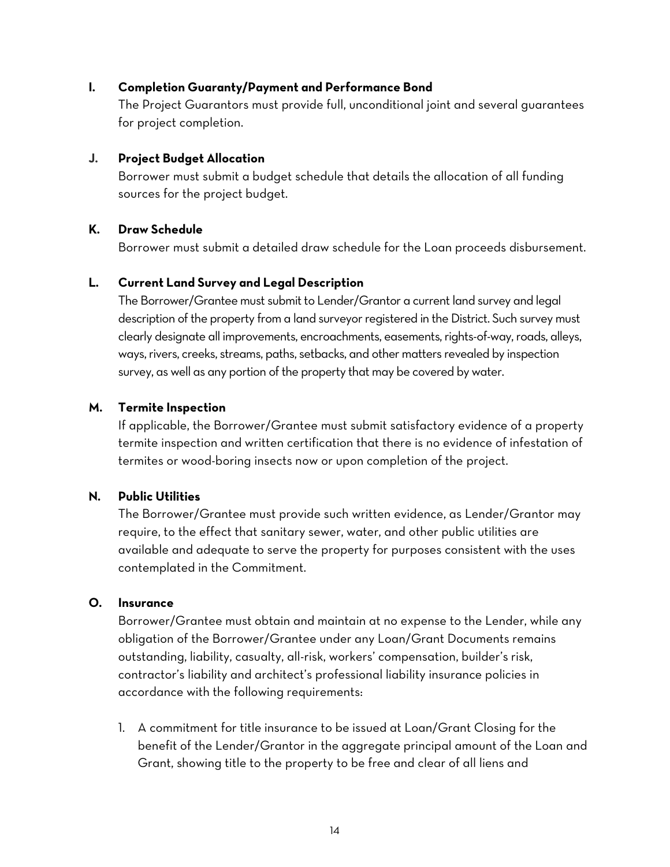#### <span id="page-15-0"></span>**I. Completion Guaranty/Payment and Performance Bond**

The Project Guarantors must provide full, unconditional joint and several guarantees for project completion.

#### <span id="page-15-1"></span>**J. Project Budget Allocation**

Borrower must submit a budget schedule that details the allocation of all funding sources for the project budget.

#### <span id="page-15-2"></span>**K. Draw Schedule**

Borrower must submit a detailed draw schedule for the Loan proceeds disbursement.

#### <span id="page-15-3"></span>**L. Current Land Survey and Legal Description**

The Borrower/Grantee must submit to Lender/Grantor a current land survey and legal description of the property from a land surveyor registered in the District. Such survey must clearly designate all improvements, encroachments, easements, rights-of-way, roads, alleys, ways, rivers, creeks, streams, paths, setbacks, and other matters revealed by inspection survey, as well as any portion of the property that may be covered by water.

#### <span id="page-15-4"></span>**M. Termite Inspection**

If applicable, the Borrower/Grantee must submit satisfactory evidence of a property termite inspection and written certification that there is no evidence of infestation of termites or wood-boring insects now or upon completion of the project.

#### <span id="page-15-5"></span>**N. Public Utilities**

The Borrower/Grantee must provide such written evidence, as Lender/Grantor may require, to the effect that sanitary sewer, water, and other public utilities are available and adequate to serve the property for purposes consistent with the uses contemplated in the Commitment.

#### <span id="page-15-6"></span>**O. Insurance**

Borrower/Grantee must obtain and maintain at no expense to the Lender, while any obligation of the Borrower/Grantee under any Loan/Grant Documents remains outstanding, liability, casualty, all-risk, workers' compensation, builder's risk, contractor's liability and architect's professional liability insurance policies in accordance with the following requirements:

1. A commitment for title insurance to be issued at Loan/Grant Closing for the benefit of the Lender/Grantor in the aggregate principal amount of the Loan and Grant, showing title to the property to be free and clear of all liens and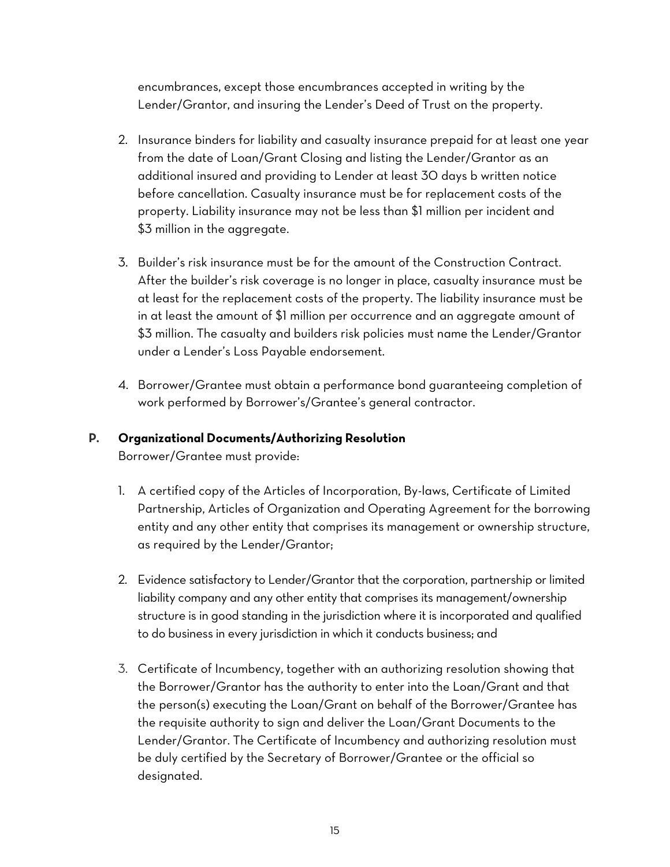encumbrances, except those encumbrances accepted in writing by the Lender/Grantor, and insuring the Lender's Deed of Trust on the property.

- 2. Insurance binders for liability and casualty insurance prepaid for at least one year from the date of Loan/Grant Closing and listing the Lender/Grantor as an additional insured and providing to Lender at least 30 days b written notice before cancellation. Casualty insurance must be for replacement costs of the property. Liability insurance may not be less than \$1 million per incident and \$3 million in the aggregate.
- 3. Builder's risk insurance must be for the amount of the Construction Contract. After the builder's risk coverage is no longer in place, casualty insurance must be at least for the replacement costs of the property. The liability insurance must be in at least the amount of \$1 million per occurrence and an aggregate amount of \$3 million. The casualty and builders risk policies must name the Lender/Grantor under a Lender's Loss Payable endorsement.
- 4. Borrower/Grantee must obtain a performance bond guaranteeing completion of work performed by Borrower's/Grantee's general contractor.

## <span id="page-16-0"></span>**P. Organizational Documents/Authorizing Resolution**

Borrower/Grantee must provide:

- 1. A certified copy of the Articles of Incorporation, By-laws, Certificate of Limited Partnership, Articles of Organization and Operating Agreement for the borrowing entity and any other entity that comprises its management or ownership structure, as required by the Lender/Grantor;
- 2. Evidence satisfactory to Lender/Grantor that the corporation, partnership or limited liability company and any other entity that comprises its management/ownership structure is in good standing in the jurisdiction where it is incorporated and qualified to do business in every jurisdiction in which it conducts business; and
- 3. Certificate of Incumbency, together with an authorizing resolution showing that the Borrower/Grantor has the authority to enter into the Loan/Grant and that the person(s) executing the Loan/Grant on behalf of the Borrower/Grantee has the requisite authority to sign and deliver the Loan/Grant Documents to the Lender/Grantor. The Certificate of Incumbency and authorizing resolution must be duly certified by the Secretary of Borrower/Grantee or the official so designated.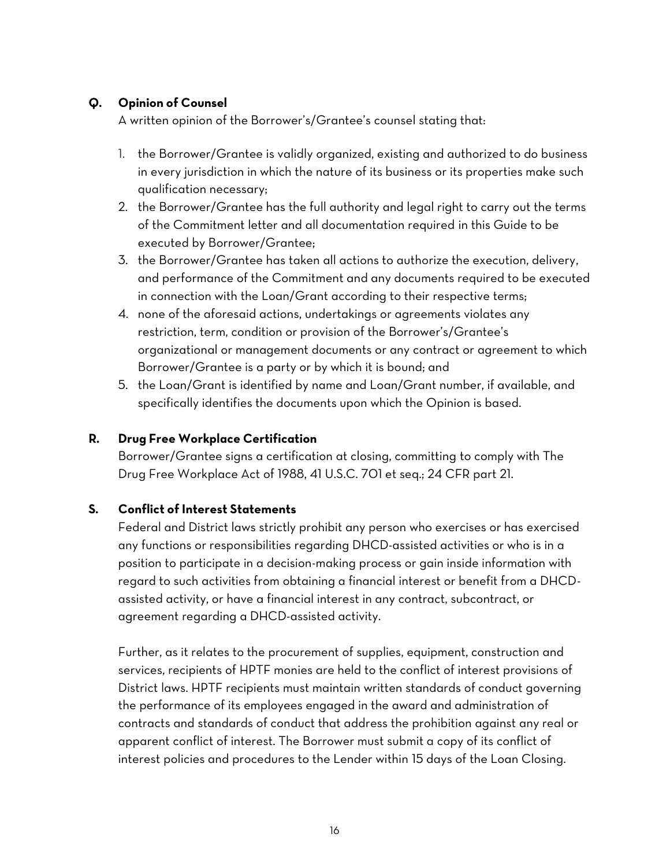# <span id="page-17-0"></span>**Q. Opinion of Counsel**

A written opinion of the Borrower's/Grantee's counsel stating that:

- 1. the Borrower/Grantee is validly organized, existing and authorized to do business in every jurisdiction in which the nature of its business or its properties make such qualification necessary;
- 2. the Borrower/Grantee has the full authority and legal right to carry out the terms of the Commitment letter and all documentation required in this Guide to be executed by Borrower/Grantee;
- 3. the Borrower/Grantee has taken all actions to authorize the execution, delivery, and performance of the Commitment and any documents required to be executed in connection with the Loan/Grant according to their respective terms;
- 4. none of the aforesaid actions, undertakings or agreements violates any restriction, term, condition or provision of the Borrower's/Grantee's organizational or management documents or any contract or agreement to which Borrower/Grantee is a party or by which it is bound; and
- 5. the Loan/Grant is identified by name and Loan/Grant number, if available, and specifically identifies the documents upon which the Opinion is based.

#### <span id="page-17-1"></span>**R. Drug Free Workplace Certification**

Borrower/Grantee signs a certification at closing, committing to comply with The Drug Free Workplace Act of 1988, 41 U.S.C. 701 et seq.; 24 CFR part 21.

# <span id="page-17-2"></span>**S. Conflict of Interest Statements**

Federal and District laws strictly prohibit any person who exercises or has exercised any functions or responsibilities regarding DHCD-assisted activities or who is in a position to participate in a decision-making process or gain inside information with regard to such activities from obtaining a financial interest or benefit from a DHCDassisted activity, or have a financial interest in any contract, subcontract, or agreement regarding a DHCD-assisted activity.

Further, as it relates to the procurement of supplies, equipment, construction and services, recipients of HPTF monies are held to the conflict of interest provisions of District laws. HPTF recipients must maintain written standards of conduct governing the performance of its employees engaged in the award and administration of contracts and standards of conduct that address the prohibition against any real or apparent conflict of interest. The Borrower must submit a copy of its conflict of interest policies and procedures to the Lender within 15 days of the Loan Closing.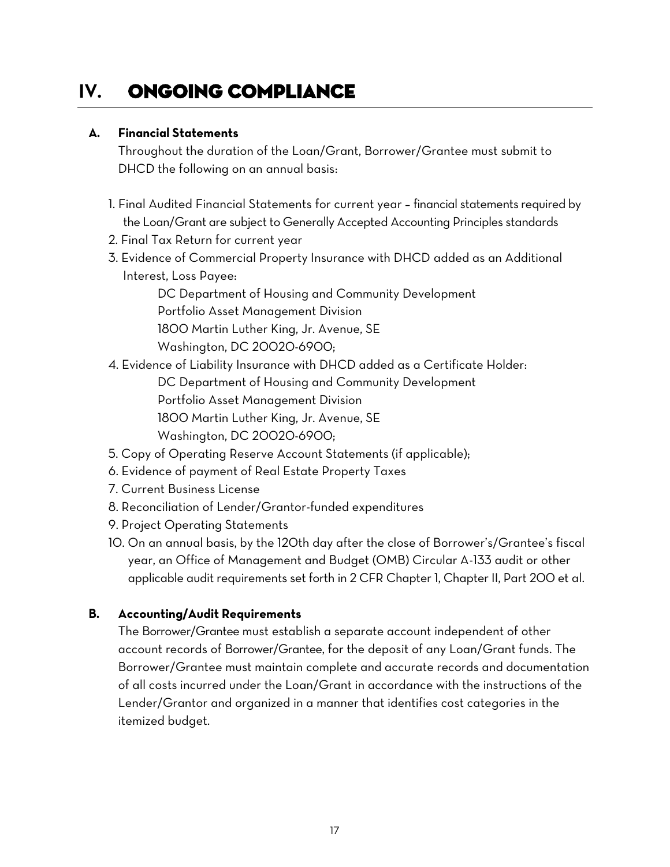# <span id="page-18-0"></span>**IV.** Ongoing Compliance

## <span id="page-18-1"></span>**A. Financial Statements**

Throughout the duration of the Loan/Grant, Borrower/Grantee must submit to DHCD the following on an annual basis:

- 1. Final Audited Financial Statements for current year financial statements required by the Loan/Grant are subject to Generally Accepted Accounting Principles standards
- 2. Final Tax Return for current year
- 3. Evidence of Commercial Property Insurance with DHCD added as an Additional Interest, Loss Payee:

DC Department of Housing and Community Development Portfolio Asset Management Division 1800 Martin Luther King, Jr. Avenue, SE Washington, DC 20020-6900;

4. Evidence of Liability Insurance with DHCD added as a Certificate Holder:

DC Department of Housing and Community Development Portfolio Asset Management Division 1800 Martin Luther King, Jr. Avenue, SE Washington, DC 20020-6900;

- 5. Copy of Operating Reserve Account Statements (if applicable);
- 6. Evidence of payment of Real Estate Property Taxes
- 7. Current Business License
- 8. Reconciliation of Lender/Grantor-funded expenditures
- 9. Project Operating Statements
- 10. On an annual basis, by the 120th day after the close of Borrower's/Grantee's fiscal year, an Office of Management and Budget (OMB) Circular A-133 audit or other applicable audit requirements set forth in 2 CFR Chapter 1, Chapter II, Part 200 et al.

#### <span id="page-18-2"></span>**B. Accounting/Audit Requirements**

The Borrower/Grantee must establish a separate account independent of other account records of Borrower/Grantee, for the deposit of any Loan/Grant funds. The Borrower/Grantee must maintain complete and accurate records and documentation of all costs incurred under the Loan/Grant in accordance with the instructions of the Lender/Grantor and organized in a manner that identifies cost categories in the itemized budget.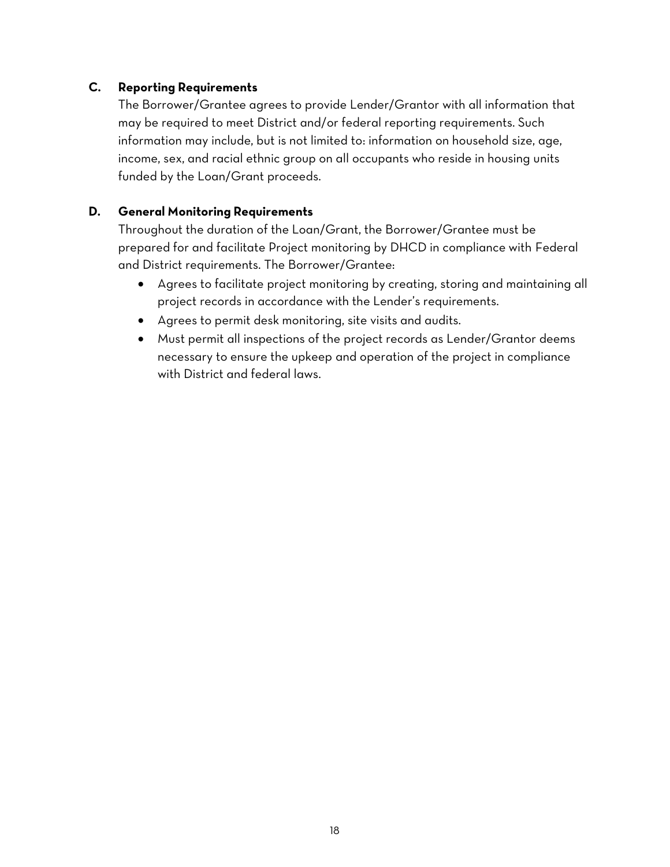## <span id="page-19-0"></span>**C. Reporting Requirements**

The Borrower/Grantee agrees to provide Lender/Grantor with all information that may be required to meet District and/or federal reporting requirements. Such information may include, but is not limited to: information on household size, age, income, sex, and racial ethnic group on all occupants who reside in housing units funded by the Loan/Grant proceeds.

# <span id="page-19-1"></span>**D. General Monitoring Requirements**

Throughout the duration of the Loan/Grant, the Borrower/Grantee must be prepared for and facilitate Project monitoring by DHCD in compliance with Federal and District requirements. The Borrower/Grantee:

- Agrees to facilitate project monitoring by creating, storing and maintaining all project records in accordance with the Lender's requirements.
- Agrees to permit desk monitoring, site visits and audits.
- Must permit all inspections of the project records as Lender/Grantor deems necessary to ensure the upkeep and operation of the project in compliance with District and federal laws.